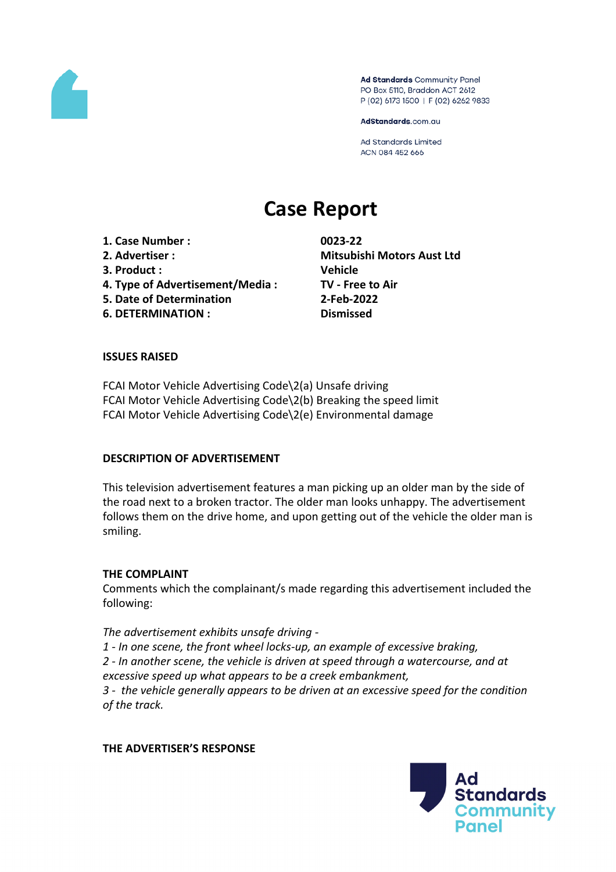

Ad Standards Community Panel PO Box 5110, Braddon ACT 2612 P (02) 6173 1500 | F (02) 6262 9833

AdStandards.com.au

Ad Standards Limited ACN 084 452 666

# **Case Report**

**1. Case Number : 0023-22 2. Advertiser : Mitsubishi Motors Aust Ltd 3. Product : Vehicle 4. Type of Advertisement/Media : TV - Free to Air 5. Date of Determination 2-Feb-2022 6. DETERMINATION : Dismissed**

#### **ISSUES RAISED**

FCAI Motor Vehicle Advertising Code\2(a) Unsafe driving FCAI Motor Vehicle Advertising Code\2(b) Breaking the speed limit FCAI Motor Vehicle Advertising Code\2(e) Environmental damage

#### **DESCRIPTION OF ADVERTISEMENT**

This television advertisement features a man picking up an older man by the side of the road next to a broken tractor. The older man looks unhappy. The advertisement follows them on the drive home, and upon getting out of the vehicle the older man is smiling.

#### **THE COMPLAINT**

Comments which the complainant/s made regarding this advertisement included the following:

#### *The advertisement exhibits unsafe driving -*

*1 - In one scene, the front wheel locks-up, an example of excessive braking, 2 - In another scene, the vehicle is driven at speed through a watercourse, and at*

*excessive speed up what appears to be a creek embankment,*

*3 - the vehicle generally appears to be driven at an excessive speed for the condition of the track.*

#### **THE ADVERTISER'S RESPONSE**

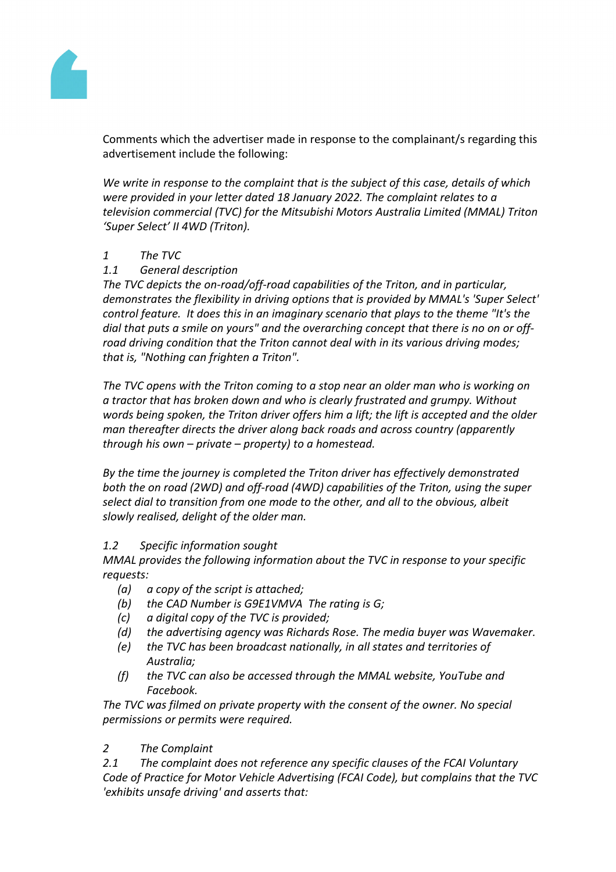

Comments which the advertiser made in response to the complainant/s regarding this advertisement include the following:

*We write in response to the complaint that is the subject of this case, details of which were provided in your letter dated 18 January 2022. The complaint relates to a television commercial (TVC) for the Mitsubishi Motors Australia Limited (MMAL) Triton 'Super Select' II 4WD (Triton).*

## *1 The TVC*

# *1.1 General description*

*The TVC depicts the on-road/off-road capabilities of the Triton, and in particular, demonstrates the flexibility in driving options that is provided by MMAL's 'Super Select' control feature. It does this in an imaginary scenario that plays to the theme "It's the dial that puts a smile on yours" and the overarching concept that there is no on or offroad driving condition that the Triton cannot deal with in its various driving modes; that is, "Nothing can frighten a Triton".*

*The TVC opens with the Triton coming to a stop near an older man who is working on a tractor that has broken down and who is clearly frustrated and grumpy. Without words being spoken, the Triton driver offers him a lift; the lift is accepted and the older man thereafter directs the driver along back roads and across country (apparently through his own – private – property) to a homestead.* 

*By the time the journey is completed the Triton driver has effectively demonstrated both the on road (2WD) and off-road (4WD) capabilities of the Triton, using the super select dial to transition from one mode to the other, and all to the obvious, albeit slowly realised, delight of the older man.*

# *1.2 Specific information sought*

*MMAL provides the following information about the TVC in response to your specific requests:*

- *(a) a copy of the script is attached;*
- *(b) the CAD Number is G9E1VMVA The rating is G;*
- *(c) a digital copy of the TVC is provided;*
- *(d) the advertising agency was Richards Rose. The media buyer was Wavemaker.*
- *(e) the TVC has been broadcast nationally, in all states and territories of Australia;*
- *(f) the TVC can also be accessed through the MMAL website, YouTube and Facebook.*

*The TVC was filmed on private property with the consent of the owner. No special permissions or permits were required.*

# *2 The Complaint*

*2.1 The complaint does not reference any specific clauses of the FCAI Voluntary Code of Practice for Motor Vehicle Advertising (FCAI Code), but complains that the TVC 'exhibits unsafe driving' and asserts that:*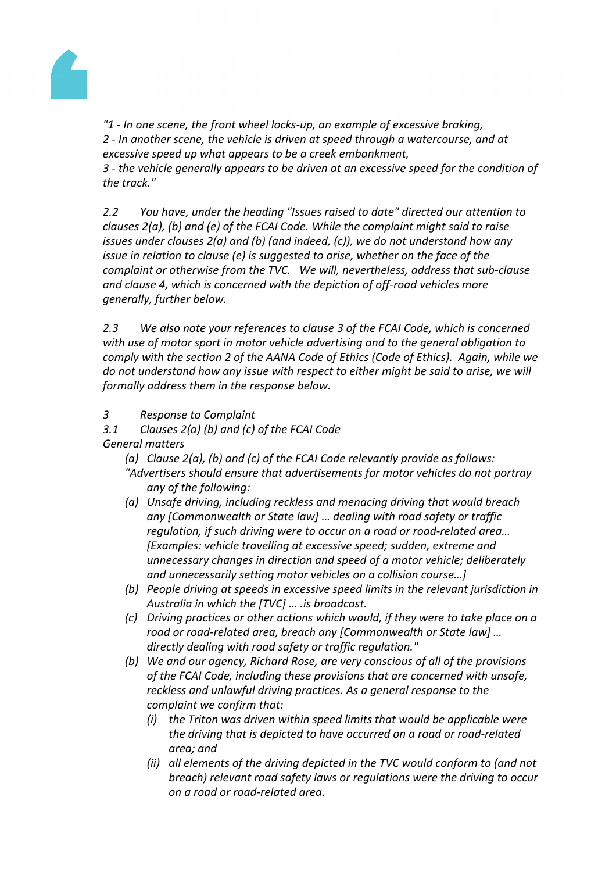

*"1 - In one scene, the front wheel locks-up, an example of excessive braking, 2 - In another scene, the vehicle is driven at speed through a watercourse, and at excessive speed up what appears to be a creek embankment,*

*3 - the vehicle generally appears to be driven at an excessive speed for the condition of the track."*

*2.2 You have, under the heading "Issues raised to date" directed our attention to clauses 2(a), (b) and (e) of the FCAI Code. While the complaint might said to raise issues under clauses 2(a) and (b) (and indeed, (c)), we do not understand how any issue in relation to clause (e) is suggested to arise, whether on the face of the complaint or otherwise from the TVC. We will, nevertheless, address that sub-clause and clause 4, which is concerned with the depiction of off-road vehicles more generally, further below.*

*2.3 We also note your references to clause 3 of the FCAI Code, which is concerned with use of motor sport in motor vehicle advertising and to the general obligation to comply with the section 2 of the AANA Code of Ethics (Code of Ethics). Again, while we do not understand how any issue with respect to either might be said to arise, we will formally address them in the response below.*

- *3 Response to Complaint*
- *3.1 Clauses 2(a) (b) and (c) of the FCAI Code General matters*
	- *(a) Clause 2(a), (b) and (c) of the FCAI Code relevantly provide as follows:*
	- *"Advertisers should ensure that advertisements for motor vehicles do not portray any of the following:*
	- *(a) Unsafe driving, including reckless and menacing driving that would breach any [Commonwealth or State law] … dealing with road safety or traffic regulation, if such driving were to occur on a road or road-related area… [Examples: vehicle travelling at excessive speed; sudden, extreme and unnecessary changes in direction and speed of a motor vehicle; deliberately and unnecessarily setting motor vehicles on a collision course…]*
	- *(b) People driving at speeds in excessive speed limits in the relevant jurisdiction in Australia in which the [TVC] … .is broadcast.*
	- *(c) Driving practices or other actions which would, if they were to take place on a road or road-related area, breach any [Commonwealth or State law] … directly dealing with road safety or traffic regulation."*
	- *(b) We and our agency, Richard Rose, are very conscious of all of the provisions of the FCAI Code, including these provisions that are concerned with unsafe, reckless and unlawful driving practices. As a general response to the complaint we confirm that:*
		- *(i) the Triton was driven within speed limits that would be applicable were the driving that is depicted to have occurred on a road or road-related area; and*
		- *(ii) all elements of the driving depicted in the TVC would conform to (and not breach) relevant road safety laws or regulations were the driving to occur on a road or road-related area.*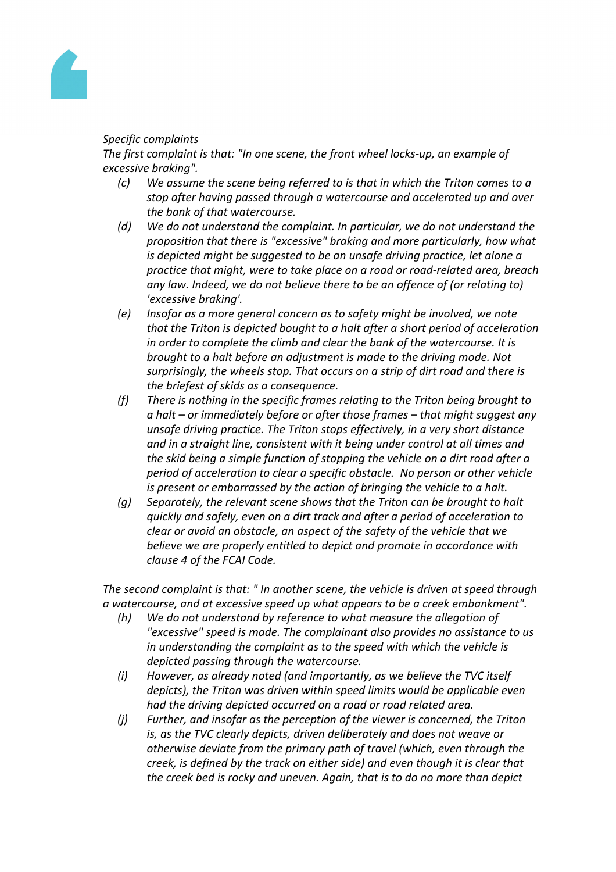

# *Specific complaints*

*The first complaint is that: "In one scene, the front wheel locks-up, an example of excessive braking".*

- *(c) We assume the scene being referred to is that in which the Triton comes to a stop after having passed through a watercourse and accelerated up and over the bank of that watercourse.*
- *(d) We do not understand the complaint. In particular, we do not understand the proposition that there is "excessive" braking and more particularly, how what is depicted might be suggested to be an unsafe driving practice, let alone a practice that might, were to take place on a road or road-related area, breach any law. Indeed, we do not believe there to be an offence of (or relating to) 'excessive braking'.*
- *(e) Insofar as a more general concern as to safety might be involved, we note that the Triton is depicted bought to a halt after a short period of acceleration in order to complete the climb and clear the bank of the watercourse. It is brought to a halt before an adjustment is made to the driving mode. Not surprisingly, the wheels stop. That occurs on a strip of dirt road and there is the briefest of skids as a consequence.*
- *(f) There is nothing in the specific frames relating to the Triton being brought to a halt – or immediately before or after those frames – that might suggest any unsafe driving practice. The Triton stops effectively, in a very short distance and in a straight line, consistent with it being under control at all times and the skid being a simple function of stopping the vehicle on a dirt road after a period of acceleration to clear a specific obstacle. No person or other vehicle is present or embarrassed by the action of bringing the vehicle to a halt.*
- *(g) Separately, the relevant scene shows that the Triton can be brought to halt quickly and safely, even on a dirt track and after a period of acceleration to clear or avoid an obstacle, an aspect of the safety of the vehicle that we believe we are properly entitled to depict and promote in accordance with clause 4 of the FCAI Code.*

*The second complaint is that: " In another scene, the vehicle is driven at speed through a watercourse, and at excessive speed up what appears to be a creek embankment".*

- *(h) We do not understand by reference to what measure the allegation of "excessive" speed is made. The complainant also provides no assistance to us in understanding the complaint as to the speed with which the vehicle is depicted passing through the watercourse.*
- *(i) However, as already noted (and importantly, as we believe the TVC itself depicts), the Triton was driven within speed limits would be applicable even had the driving depicted occurred on a road or road related area.*
- *(j) Further, and insofar as the perception of the viewer is concerned, the Triton is, as the TVC clearly depicts, driven deliberately and does not weave or otherwise deviate from the primary path of travel (which, even through the creek, is defined by the track on either side) and even though it is clear that the creek bed is rocky and uneven. Again, that is to do no more than depict*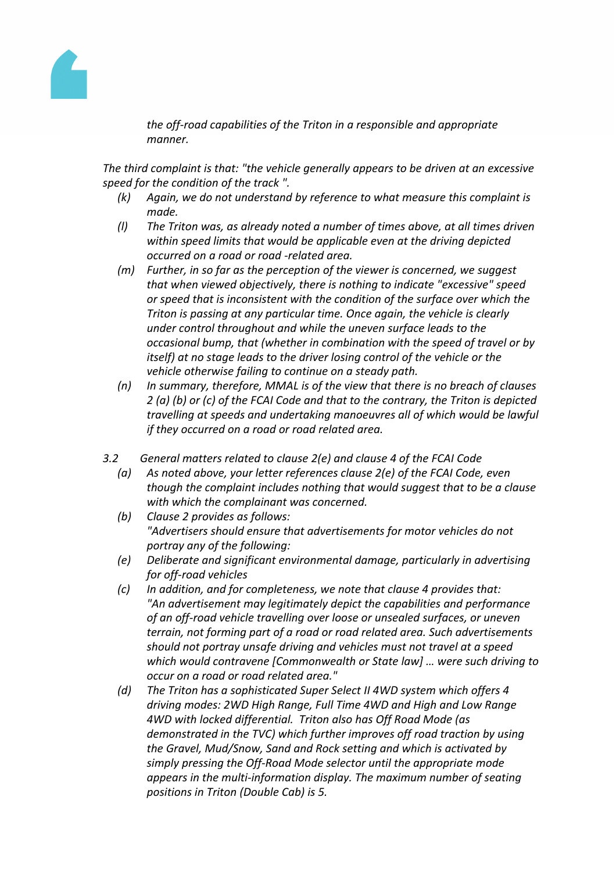

*the off-road capabilities of the Triton in a responsible and appropriate manner.*

*The third complaint is that: "the vehicle generally appears to be driven at an excessive speed for the condition of the track ".*

- *(k) Again, we do not understand by reference to what measure this complaint is made.*
- *(l) The Triton was, as already noted a number of times above, at all times driven within speed limits that would be applicable even at the driving depicted occurred on a road or road -related area.*
- *(m) Further, in so far as the perception of the viewer is concerned, we suggest that when viewed objectively, there is nothing to indicate "excessive" speed or speed that is inconsistent with the condition of the surface over which the Triton is passing at any particular time. Once again, the vehicle is clearly under control throughout and while the uneven surface leads to the occasional bump, that (whether in combination with the speed of travel or by itself) at no stage leads to the driver losing control of the vehicle or the vehicle otherwise failing to continue on a steady path.*
- *(n) In summary, therefore, MMAL is of the view that there is no breach of clauses 2 (a) (b) or (c) of the FCAI Code and that to the contrary, the Triton is depicted travelling at speeds and undertaking manoeuvres all of which would be lawful if they occurred on a road or road related area.*
- *3.2 General matters related to clause 2(e) and clause 4 of the FCAI Code*
	- *(a) As noted above, your letter references clause 2(e) of the FCAI Code, even though the complaint includes nothing that would suggest that to be a clause with which the complainant was concerned.*
	- *(b) Clause 2 provides as follows: "Advertisers should ensure that advertisements for motor vehicles do not portray any of the following:*
	- *(e) Deliberate and significant environmental damage, particularly in advertising for off-road vehicles*
	- *(c) In addition, and for completeness, we note that clause 4 provides that: "An advertisement may legitimately depict the capabilities and performance of an off-road vehicle travelling over loose or unsealed surfaces, or uneven terrain, not forming part of a road or road related area. Such advertisements should not portray unsafe driving and vehicles must not travel at a speed which would contravene [Commonwealth or State law] … were such driving to occur on a road or road related area."*
	- *(d) The Triton has a sophisticated Super Select II 4WD system which offers 4 driving modes: 2WD High Range, Full Time 4WD and High and Low Range 4WD with locked differential. Triton also has Off Road Mode (as demonstrated in the TVC) which further improves off road traction by using the Gravel, Mud/Snow, Sand and Rock setting and which is activated by simply pressing the Off-Road Mode selector until the appropriate mode appears in the multi-information display. The maximum number of seating positions in Triton (Double Cab) is 5.*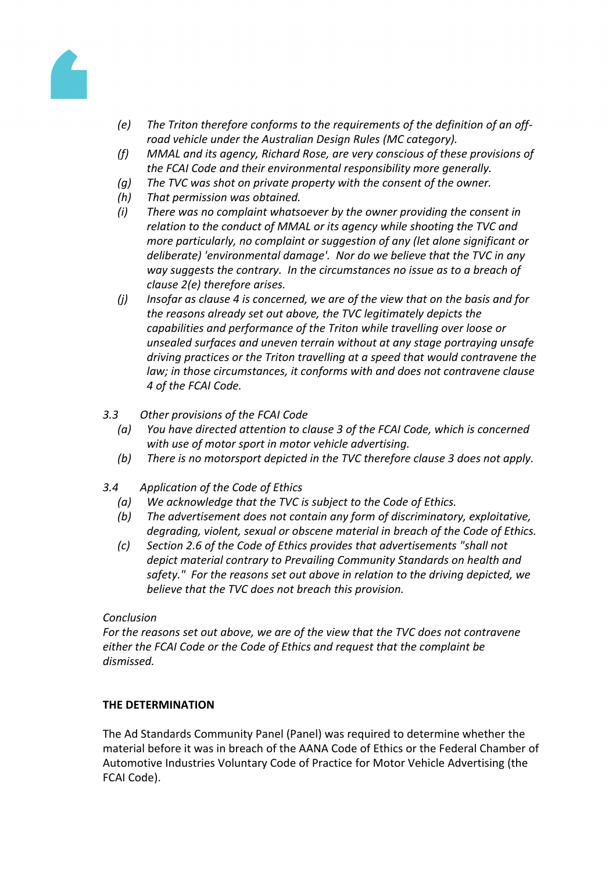

- *(e) The Triton therefore conforms to the requirements of the definition of an offroad vehicle under the Australian Design Rules (MC category).*
- *(f) MMAL and its agency, Richard Rose, are very conscious of these provisions of the FCAI Code and their environmental responsibility more generally.*
- *(g) The TVC was shot on private property with the consent of the owner.*
- *(h) That permission was obtained.*
- *(i) There was no complaint whatsoever by the owner providing the consent in relation to the conduct of MMAL or its agency while shooting the TVC and more particularly, no complaint or suggestion of any (let alone significant or deliberate) 'environmental damage'. Nor do we believe that the TVC in any way suggests the contrary. In the circumstances no issue as to a breach of clause 2(e) therefore arises.*
- *(j) Insofar as clause 4 is concerned, we are of the view that on the basis and for the reasons already set out above, the TVC legitimately depicts the capabilities and performance of the Triton while travelling over loose or unsealed surfaces and uneven terrain without at any stage portraying unsafe driving practices or the Triton travelling at a speed that would contravene the law; in those circumstances, it conforms with and does not contravene clause 4 of the FCAI Code.*
- *3.3 Other provisions of the FCAI Code*
	- *(a) You have directed attention to clause 3 of the FCAI Code, which is concerned with use of motor sport in motor vehicle advertising.*
	- *(b) There is no motorsport depicted in the TVC therefore clause 3 does not apply.*
- *3.4 Application of the Code of Ethics*
	- *(a) We acknowledge that the TVC is subject to the Code of Ethics.*
	- *(b) The advertisement does not contain any form of discriminatory, exploitative, degrading, violent, sexual or obscene material in breach of the Code of Ethics.*
	- *(c) Section 2.6 of the Code of Ethics provides that advertisements "shall not depict material contrary to Prevailing Community Standards on health and safety." For the reasons set out above in relation to the driving depicted, we believe that the TVC does not breach this provision.*

#### *Conclusion*

*For the reasons set out above, we are of the view that the TVC does not contravene either the FCAI Code or the Code of Ethics and request that the complaint be dismissed.*

#### **THE DETERMINATION**

The Ad Standards Community Panel (Panel) was required to determine whether the material before it was in breach of the AANA Code of Ethics or the Federal Chamber of Automotive Industries Voluntary Code of Practice for Motor Vehicle Advertising (the FCAI Code).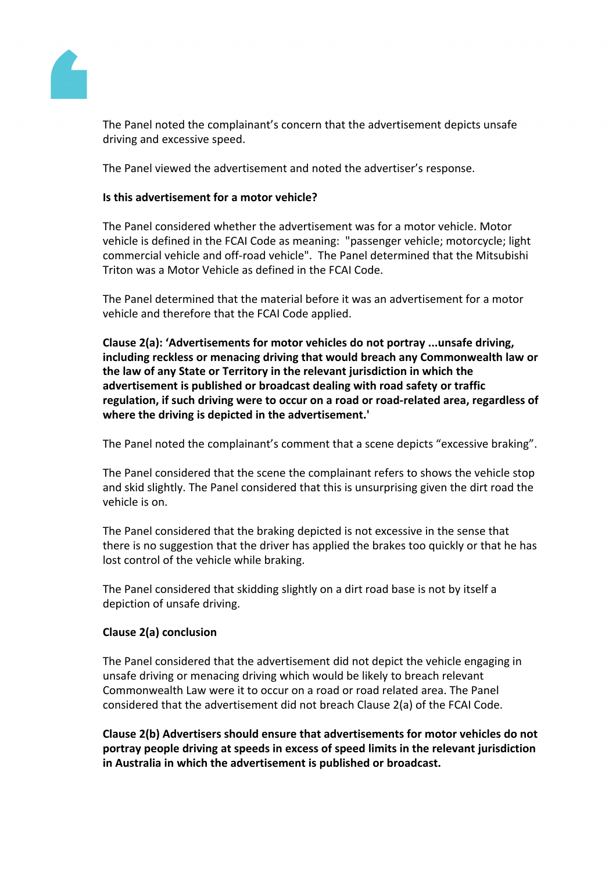

The Panel noted the complainant's concern that the advertisement depicts unsafe driving and excessive speed.

The Panel viewed the advertisement and noted the advertiser's response.

## **Is this advertisement for a motor vehicle?**

The Panel considered whether the advertisement was for a motor vehicle. Motor vehicle is defined in the FCAI Code as meaning: "passenger vehicle; motorcycle; light commercial vehicle and off-road vehicle". The Panel determined that the Mitsubishi Triton was a Motor Vehicle as defined in the FCAI Code.

The Panel determined that the material before it was an advertisement for a motor vehicle and therefore that the FCAI Code applied.

**Clause 2(a): 'Advertisements for motor vehicles do not portray ...unsafe driving, including reckless or menacing driving that would breach any Commonwealth law or the law of any State or Territory in the relevant jurisdiction in which the advertisement is published or broadcast dealing with road safety or traffic regulation, if such driving were to occur on a road or road-related area, regardless of where the driving is depicted in the advertisement.'**

The Panel noted the complainant's comment that a scene depicts "excessive braking".

The Panel considered that the scene the complainant refers to shows the vehicle stop and skid slightly. The Panel considered that this is unsurprising given the dirt road the vehicle is on.

The Panel considered that the braking depicted is not excessive in the sense that there is no suggestion that the driver has applied the brakes too quickly or that he has lost control of the vehicle while braking.

The Panel considered that skidding slightly on a dirt road base is not by itself a depiction of unsafe driving.

# **Clause 2(a) conclusion**

The Panel considered that the advertisement did not depict the vehicle engaging in unsafe driving or menacing driving which would be likely to breach relevant Commonwealth Law were it to occur on a road or road related area. The Panel considered that the advertisement did not breach Clause 2(a) of the FCAI Code.

**Clause 2(b) Advertisers should ensure that advertisements for motor vehicles do not portray people driving at speeds in excess of speed limits in the relevant jurisdiction in Australia in which the advertisement is published or broadcast.**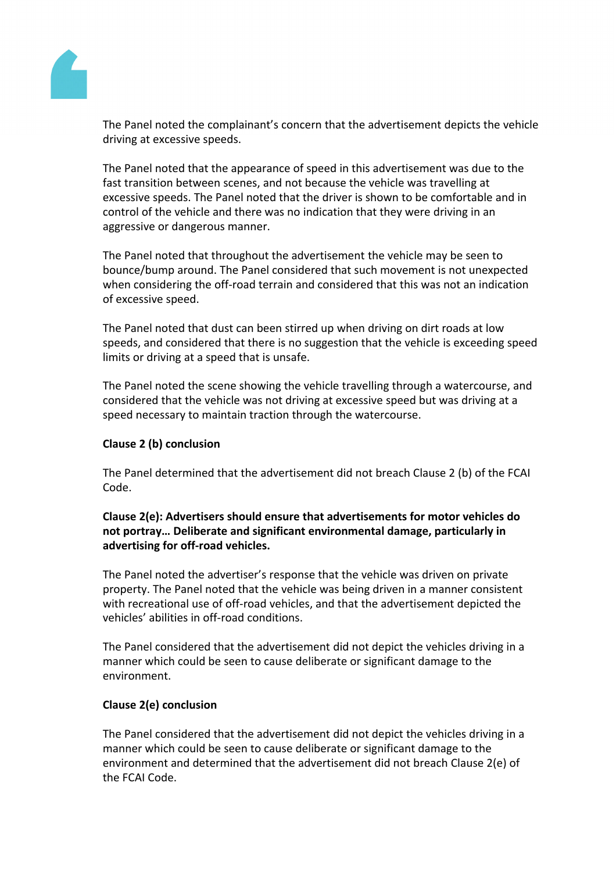

The Panel noted the complainant's concern that the advertisement depicts the vehicle driving at excessive speeds.

The Panel noted that the appearance of speed in this advertisement was due to the fast transition between scenes, and not because the vehicle was travelling at excessive speeds. The Panel noted that the driver is shown to be comfortable and in control of the vehicle and there was no indication that they were driving in an aggressive or dangerous manner.

The Panel noted that throughout the advertisement the vehicle may be seen to bounce/bump around. The Panel considered that such movement is not unexpected when considering the off-road terrain and considered that this was not an indication of excessive speed.

The Panel noted that dust can been stirred up when driving on dirt roads at low speeds, and considered that there is no suggestion that the vehicle is exceeding speed limits or driving at a speed that is unsafe.

The Panel noted the scene showing the vehicle travelling through a watercourse, and considered that the vehicle was not driving at excessive speed but was driving at a speed necessary to maintain traction through the watercourse.

# **Clause 2 (b) conclusion**

The Panel determined that the advertisement did not breach Clause 2 (b) of the FCAI Code.

**Clause 2(e): Advertisers should ensure that advertisements for motor vehicles do not portray… Deliberate and significant environmental damage, particularly in advertising for off-road vehicles.**

The Panel noted the advertiser's response that the vehicle was driven on private property. The Panel noted that the vehicle was being driven in a manner consistent with recreational use of off-road vehicles, and that the advertisement depicted the vehicles' abilities in off-road conditions.

The Panel considered that the advertisement did not depict the vehicles driving in a manner which could be seen to cause deliberate or significant damage to the environment.

#### **Clause 2(e) conclusion**

The Panel considered that the advertisement did not depict the vehicles driving in a manner which could be seen to cause deliberate or significant damage to the environment and determined that the advertisement did not breach Clause 2(e) of the FCAI Code.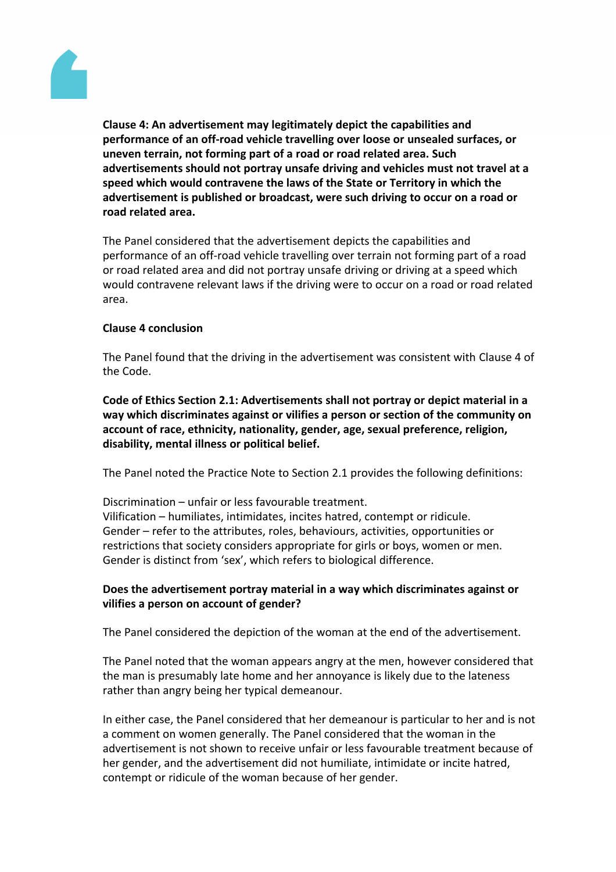

**Clause 4: An advertisement may legitimately depict the capabilities and performance of an off-road vehicle travelling over loose or unsealed surfaces, or uneven terrain, not forming part of a road or road related area. Such advertisements should not portray unsafe driving and vehicles must not travel at a speed which would contravene the laws of the State or Territory in which the advertisement is published or broadcast, were such driving to occur on a road or road related area.**

The Panel considered that the advertisement depicts the capabilities and performance of an off-road vehicle travelling over terrain not forming part of a road or road related area and did not portray unsafe driving or driving at a speed which would contravene relevant laws if the driving were to occur on a road or road related area.

#### **Clause 4 conclusion**

The Panel found that the driving in the advertisement was consistent with Clause 4 of the Code.

**Code of Ethics Section 2.1: Advertisements shall not portray or depict material in a way which discriminates against or vilifies a person or section of the community on account of race, ethnicity, nationality, gender, age, sexual preference, religion, disability, mental illness or political belief.**

The Panel noted the Practice Note to Section 2.1 provides the following definitions:

Discrimination – unfair or less favourable treatment. Vilification – humiliates, intimidates, incites hatred, contempt or ridicule. Gender – refer to the attributes, roles, behaviours, activities, opportunities or restrictions that society considers appropriate for girls or boys, women or men. Gender is distinct from 'sex', which refers to biological difference.

## **Does the advertisement portray material in a way which discriminates against or vilifies a person on account of gender?**

The Panel considered the depiction of the woman at the end of the advertisement.

The Panel noted that the woman appears angry at the men, however considered that the man is presumably late home and her annoyance is likely due to the lateness rather than angry being her typical demeanour.

In either case, the Panel considered that her demeanour is particular to her and is not a comment on women generally. The Panel considered that the woman in the advertisement is not shown to receive unfair or less favourable treatment because of her gender, and the advertisement did not humiliate, intimidate or incite hatred, contempt or ridicule of the woman because of her gender.